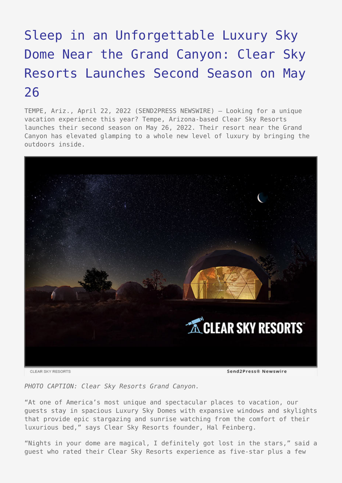## [Sleep in an Unforgettable Luxury Sky](https://www.send2press.com/wire/sleep-in-an-unforgettable-luxury-sky-dome-near-the-grand-canyon-clear-sky-resorts-launches-second-season-on-may-26/) [Dome Near the Grand Canyon: Clear Sky](https://www.send2press.com/wire/sleep-in-an-unforgettable-luxury-sky-dome-near-the-grand-canyon-clear-sky-resorts-launches-second-season-on-may-26/) [Resorts Launches Second Season on May](https://www.send2press.com/wire/sleep-in-an-unforgettable-luxury-sky-dome-near-the-grand-canyon-clear-sky-resorts-launches-second-season-on-may-26/) [26](https://www.send2press.com/wire/sleep-in-an-unforgettable-luxury-sky-dome-near-the-grand-canyon-clear-sky-resorts-launches-second-season-on-may-26/)

TEMPE, Ariz., April 22, 2022 (SEND2PRESS NEWSWIRE) — Looking for a unique vacation experience this year? Tempe, Arizona-based Clear Sky Resorts launches their second season on May 26, 2022. Their resort near the Grand Canyon has elevated glamping to a whole new level of luxury by bringing the outdoors inside.



*PHOTO CAPTION: Clear Sky Resorts Grand Canyon.*

"At one of America's most unique and spectacular places to vacation, our guests stay in spacious Luxury Sky Domes with expansive windows and skylights that provide epic stargazing and sunrise watching from the comfort of their luxurious bed," says Clear Sky Resorts founder, Hal Feinberg.

"Nights in your dome are magical, I definitely got lost in the stars," said a guest who rated their Clear Sky Resorts experience as five-star plus a few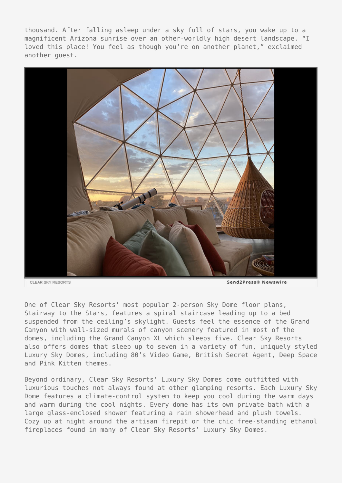thousand. After falling asleep under a sky full of stars, you wake up to a magnificent Arizona sunrise over an other-worldly high desert landscape. "I loved this place! You feel as though you're on another planet," exclaimed another guest.



CLEAR SKY RESORTS

Send2Press® Newswire

One of Clear Sky Resorts' most popular 2-person Sky Dome floor plans, Stairway to the Stars, features a spiral staircase leading up to a bed suspended from the ceiling's skylight. Guests feel the essence of the Grand Canyon with wall-sized murals of canyon scenery featured in most of the domes, including the Grand Canyon XL which sleeps five. Clear Sky Resorts also offers domes that sleep up to seven in a variety of fun, uniquely styled Luxury Sky Domes, including 80's Video Game, British Secret Agent, Deep Space and Pink Kitten themes.

Beyond ordinary, Clear Sky Resorts' Luxury Sky Domes come outfitted with luxurious touches not always found at other glamping resorts. Each Luxury Sky Dome features a climate-control system to keep you cool during the warm days and warm during the cool nights. Every dome has its own private bath with a large glass-enclosed shower featuring a rain showerhead and plush towels. Cozy up at night around the artisan firepit or the chic free-standing ethanol fireplaces found in many of Clear Sky Resorts' Luxury Sky Domes.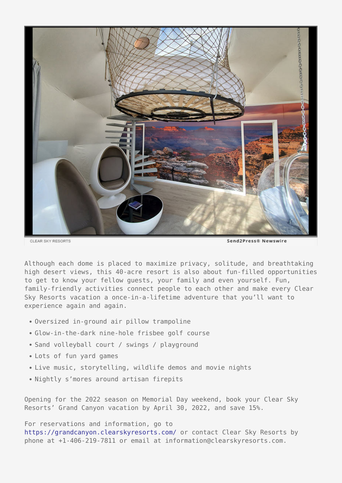

CLEAR SKY RESORTS

Send2Press® Newswire

Although each dome is placed to maximize privacy, solitude, and breathtaking high desert views, this 40-acre resort is also about fun-filled opportunities to get to know your fellow guests, your family and even yourself. Fun, family-friendly activities connect people to each other and make every Clear Sky Resorts vacation a once-in-a-lifetime adventure that you'll want to experience again and again.

- Oversized in-ground air pillow trampoline
- Glow-in-the-dark nine-hole frisbee golf course
- Sand volleyball court / swings / playground
- Lots of fun yard games
- Live music, storytelling, wildlife demos and movie nights
- Nightly s'mores around artisan firepits

Opening for the 2022 season on Memorial Day weekend, book your Clear Sky Resorts' Grand Canyon vacation by April 30, 2022, and save 15%.

For reservations and information, go to <https://grandcanyon.clearskyresorts.com/> or contact Clear Sky Resorts by phone at +1-406-219-7811 or email at information@clearskyresorts.com.